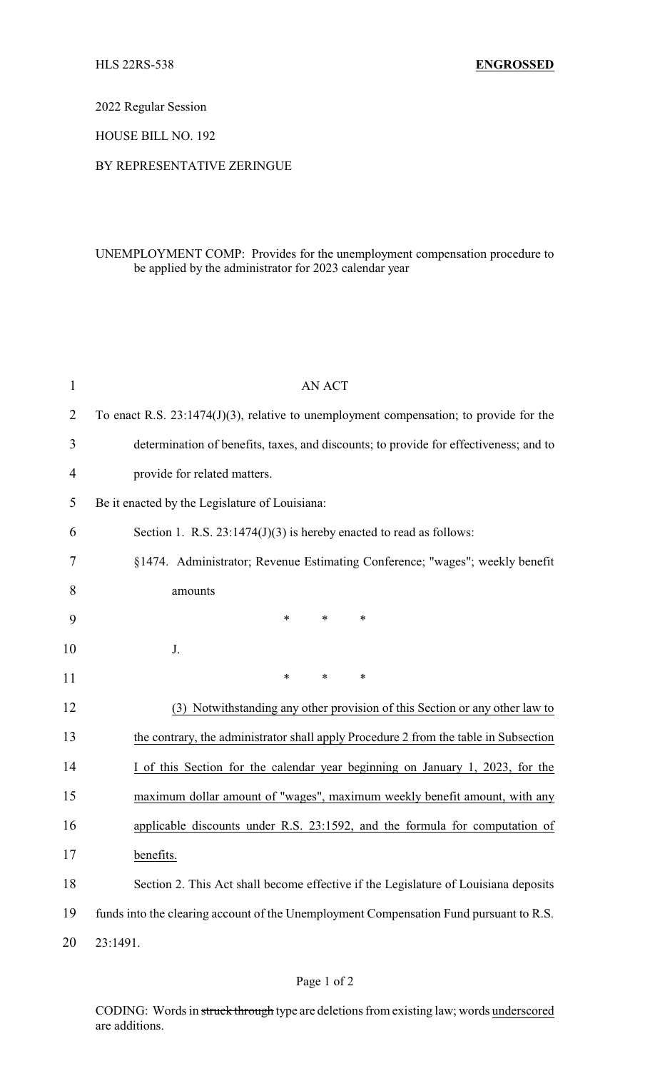2022 Regular Session

HOUSE BILL NO. 192

## BY REPRESENTATIVE ZERINGUE

## UNEMPLOYMENT COMP: Provides for the unemployment compensation procedure to be applied by the administrator for 2023 calendar year

| $\mathbf{1}$   | <b>AN ACT</b>                                                                             |
|----------------|-------------------------------------------------------------------------------------------|
| $\overline{2}$ | To enact R.S. $23:1474(J)(3)$ , relative to unemployment compensation; to provide for the |
| 3              | determination of benefits, taxes, and discounts; to provide for effectiveness; and to     |
| $\overline{4}$ | provide for related matters.                                                              |
| 5              | Be it enacted by the Legislature of Louisiana:                                            |
| 6              | Section 1. R.S. $23:1474(J)(3)$ is hereby enacted to read as follows:                     |
| 7              | §1474. Administrator; Revenue Estimating Conference; "wages"; weekly benefit              |
| 8              | amounts                                                                                   |
| 9              | $\ast$<br>$\ast$<br>*                                                                     |
| 10             | J.                                                                                        |
| 11             | $\ast$<br>$\ast$<br>∗                                                                     |
| 12             | (3) Notwithstanding any other provision of this Section or any other law to               |
| 13             | the contrary, the administrator shall apply Procedure 2 from the table in Subsection      |
| 14             | I of this Section for the calendar year beginning on January 1, 2023, for the             |
| 15             | maximum dollar amount of "wages", maximum weekly benefit amount, with any                 |
| 16             | applicable discounts under R.S. 23:1592, and the formula for computation of               |
| 17             | benefits.                                                                                 |
| 18             | Section 2. This Act shall become effective if the Legislature of Louisiana deposits       |
| 19             | funds into the clearing account of the Unemployment Compensation Fund pursuant to R.S.    |
| 20             | 23:1491.                                                                                  |

CODING: Words in struck through type are deletions from existing law; words underscored are additions.